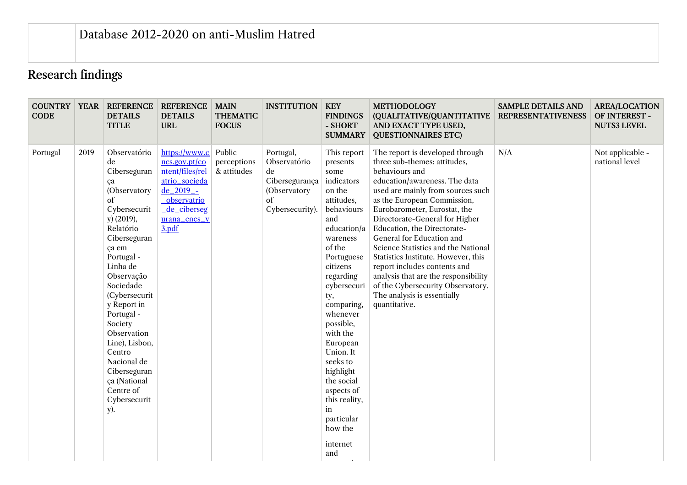## Research findings

| <b>CODE</b> |      | <b>COUNTRY   YEAR   REFERENCE</b><br><b>DETAILS</b><br><b>TITLE</b>                                                                                                                                                                                                                                                                                                              | <b>REFERENCE</b><br><b>DETAILS</b><br><b>URL</b>                                                                                                  | <b>MAIN</b><br><b>THEMATIC</b><br><b>FOCUS</b> | <b>INSTITUTION</b>                                                                         | <b>KEY</b><br><b>FINDINGS</b><br>- SHORT<br><b>SUMMARY</b>                                                                                                                                                                                                                                                                                                                                       | <b>METHODOLOGY</b><br>(QUALITATIVE/QUANTITATIVE<br>AND EXACT TYPE USED,<br><b>QUESTIONNAIRES ETC)</b>                                                                                                                                                                                                                                                                                                                                                                                                                                                           | <b>SAMPLE DETAILS AND</b><br><b>REPRESENTATIVENESS</b> | <b>AREA/LOCATION</b><br>OF INTEREST -<br><b>NUTS3 LEVEL</b> |
|-------------|------|----------------------------------------------------------------------------------------------------------------------------------------------------------------------------------------------------------------------------------------------------------------------------------------------------------------------------------------------------------------------------------|---------------------------------------------------------------------------------------------------------------------------------------------------|------------------------------------------------|--------------------------------------------------------------------------------------------|--------------------------------------------------------------------------------------------------------------------------------------------------------------------------------------------------------------------------------------------------------------------------------------------------------------------------------------------------------------------------------------------------|-----------------------------------------------------------------------------------------------------------------------------------------------------------------------------------------------------------------------------------------------------------------------------------------------------------------------------------------------------------------------------------------------------------------------------------------------------------------------------------------------------------------------------------------------------------------|--------------------------------------------------------|-------------------------------------------------------------|
| Portugal    | 2019 | Observatório<br>de<br>Ciberseguran<br>ça<br>(Observatory<br>οf<br>Cybersecurit<br>$y)$ (2019),<br>Relatório<br>Ciberseguran<br>ça em<br>Portugal -<br>Linha de<br>Observação<br>Sociedade<br>(Cybersecurit<br>y Report in<br>Portugal -<br>Society<br>Observation<br>Line), Lisbon,<br>Centro<br>Nacional de<br>Ciberseguran<br>ça (National<br>Centre of<br>Cybersecurit<br>y). | https://www.c<br>ncs.gov.pt/co<br>ntent/files/rel<br>atrio_socieda<br>$de_2$ 2019 -<br><b>observatrio</b><br>de_ciberseg<br>urana_cncs_v<br>3.pdf | Public<br>perceptions<br>& attitudes           | Portugal,<br>Observatório<br>de<br>Cibersegurança<br>(Observatory<br>of<br>Cybersecurity). | This report<br>presents<br>some<br>indicators<br>on the<br>attitudes,<br>behaviours<br>and<br>education/a<br>wareness<br>of the<br>Portuguese<br>citizens<br>regarding<br>cybersecuri<br>ty,<br>comparing,<br>whenever<br>possible,<br>with the<br>European<br>Union. It<br>seeks to<br>highlight<br>the social<br>aspects of<br>this reality,<br>in<br>particular<br>how the<br>internet<br>and | The report is developed through<br>three sub-themes: attitudes,<br>behaviours and<br>education/awareness. The data<br>used are mainly from sources such<br>as the European Commission,<br>Eurobarometer, Eurostat, the<br>Directorate-General for Higher<br>Education, the Directorate-<br>General for Education and<br>Science Statistics and the National<br>Statistics Institute. However, this<br>report includes contents and<br>analysis that are the responsibility<br>of the Cybersecurity Observatory.<br>The analysis is essentially<br>quantitative. | N/A                                                    | Not applicable -<br>national level                          |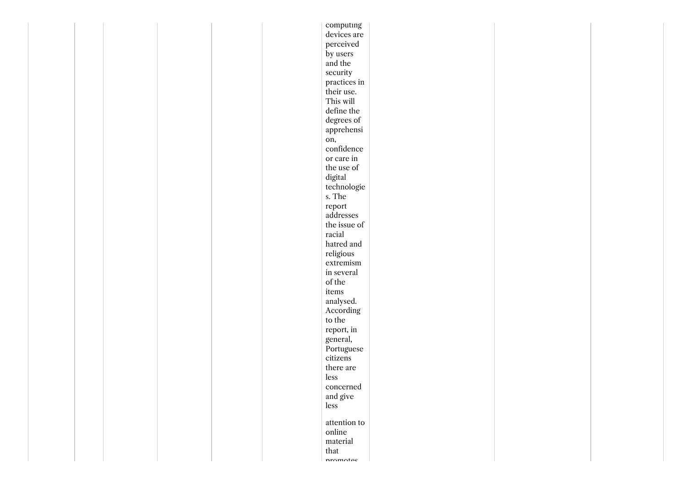| devices are<br>perceived<br>by users<br>and the<br>security<br>practices in<br>their use.<br>This will<br>define the<br>degrees of<br>apprehensi<br>on,<br>confidence<br>or care in<br>the use of<br>digital<br>technologie<br>s. The<br>report<br>addresses<br>the issue of<br>racial<br>hatred and<br>$\it religious$<br>extremism<br>in several<br>of the<br>items<br>analysed.<br>According<br>to the<br>report, in<br>general,<br>Portuguese<br>citizens<br>there are<br>less<br>concerned<br>and give<br>less<br>attention to<br>online<br>material<br>that<br>nromotos |  |  |  | computing |  |  |
|-------------------------------------------------------------------------------------------------------------------------------------------------------------------------------------------------------------------------------------------------------------------------------------------------------------------------------------------------------------------------------------------------------------------------------------------------------------------------------------------------------------------------------------------------------------------------------|--|--|--|-----------|--|--|
|                                                                                                                                                                                                                                                                                                                                                                                                                                                                                                                                                                               |  |  |  |           |  |  |
|                                                                                                                                                                                                                                                                                                                                                                                                                                                                                                                                                                               |  |  |  |           |  |  |
|                                                                                                                                                                                                                                                                                                                                                                                                                                                                                                                                                                               |  |  |  |           |  |  |
|                                                                                                                                                                                                                                                                                                                                                                                                                                                                                                                                                                               |  |  |  |           |  |  |
|                                                                                                                                                                                                                                                                                                                                                                                                                                                                                                                                                                               |  |  |  |           |  |  |
|                                                                                                                                                                                                                                                                                                                                                                                                                                                                                                                                                                               |  |  |  |           |  |  |
|                                                                                                                                                                                                                                                                                                                                                                                                                                                                                                                                                                               |  |  |  |           |  |  |
|                                                                                                                                                                                                                                                                                                                                                                                                                                                                                                                                                                               |  |  |  |           |  |  |
|                                                                                                                                                                                                                                                                                                                                                                                                                                                                                                                                                                               |  |  |  |           |  |  |
|                                                                                                                                                                                                                                                                                                                                                                                                                                                                                                                                                                               |  |  |  |           |  |  |
|                                                                                                                                                                                                                                                                                                                                                                                                                                                                                                                                                                               |  |  |  |           |  |  |
|                                                                                                                                                                                                                                                                                                                                                                                                                                                                                                                                                                               |  |  |  |           |  |  |
|                                                                                                                                                                                                                                                                                                                                                                                                                                                                                                                                                                               |  |  |  |           |  |  |
|                                                                                                                                                                                                                                                                                                                                                                                                                                                                                                                                                                               |  |  |  |           |  |  |
|                                                                                                                                                                                                                                                                                                                                                                                                                                                                                                                                                                               |  |  |  |           |  |  |
|                                                                                                                                                                                                                                                                                                                                                                                                                                                                                                                                                                               |  |  |  |           |  |  |
|                                                                                                                                                                                                                                                                                                                                                                                                                                                                                                                                                                               |  |  |  |           |  |  |
|                                                                                                                                                                                                                                                                                                                                                                                                                                                                                                                                                                               |  |  |  |           |  |  |
|                                                                                                                                                                                                                                                                                                                                                                                                                                                                                                                                                                               |  |  |  |           |  |  |
|                                                                                                                                                                                                                                                                                                                                                                                                                                                                                                                                                                               |  |  |  |           |  |  |
|                                                                                                                                                                                                                                                                                                                                                                                                                                                                                                                                                                               |  |  |  |           |  |  |
|                                                                                                                                                                                                                                                                                                                                                                                                                                                                                                                                                                               |  |  |  |           |  |  |
|                                                                                                                                                                                                                                                                                                                                                                                                                                                                                                                                                                               |  |  |  |           |  |  |
|                                                                                                                                                                                                                                                                                                                                                                                                                                                                                                                                                                               |  |  |  |           |  |  |
|                                                                                                                                                                                                                                                                                                                                                                                                                                                                                                                                                                               |  |  |  |           |  |  |
|                                                                                                                                                                                                                                                                                                                                                                                                                                                                                                                                                                               |  |  |  |           |  |  |
|                                                                                                                                                                                                                                                                                                                                                                                                                                                                                                                                                                               |  |  |  |           |  |  |
|                                                                                                                                                                                                                                                                                                                                                                                                                                                                                                                                                                               |  |  |  |           |  |  |
|                                                                                                                                                                                                                                                                                                                                                                                                                                                                                                                                                                               |  |  |  |           |  |  |
|                                                                                                                                                                                                                                                                                                                                                                                                                                                                                                                                                                               |  |  |  |           |  |  |
|                                                                                                                                                                                                                                                                                                                                                                                                                                                                                                                                                                               |  |  |  |           |  |  |
|                                                                                                                                                                                                                                                                                                                                                                                                                                                                                                                                                                               |  |  |  |           |  |  |
|                                                                                                                                                                                                                                                                                                                                                                                                                                                                                                                                                                               |  |  |  |           |  |  |
|                                                                                                                                                                                                                                                                                                                                                                                                                                                                                                                                                                               |  |  |  |           |  |  |
|                                                                                                                                                                                                                                                                                                                                                                                                                                                                                                                                                                               |  |  |  |           |  |  |
|                                                                                                                                                                                                                                                                                                                                                                                                                                                                                                                                                                               |  |  |  |           |  |  |
|                                                                                                                                                                                                                                                                                                                                                                                                                                                                                                                                                                               |  |  |  |           |  |  |
|                                                                                                                                                                                                                                                                                                                                                                                                                                                                                                                                                                               |  |  |  |           |  |  |
|                                                                                                                                                                                                                                                                                                                                                                                                                                                                                                                                                                               |  |  |  |           |  |  |
|                                                                                                                                                                                                                                                                                                                                                                                                                                                                                                                                                                               |  |  |  |           |  |  |
|                                                                                                                                                                                                                                                                                                                                                                                                                                                                                                                                                                               |  |  |  |           |  |  |
|                                                                                                                                                                                                                                                                                                                                                                                                                                                                                                                                                                               |  |  |  |           |  |  |
|                                                                                                                                                                                                                                                                                                                                                                                                                                                                                                                                                                               |  |  |  |           |  |  |
|                                                                                                                                                                                                                                                                                                                                                                                                                                                                                                                                                                               |  |  |  |           |  |  |
|                                                                                                                                                                                                                                                                                                                                                                                                                                                                                                                                                                               |  |  |  |           |  |  |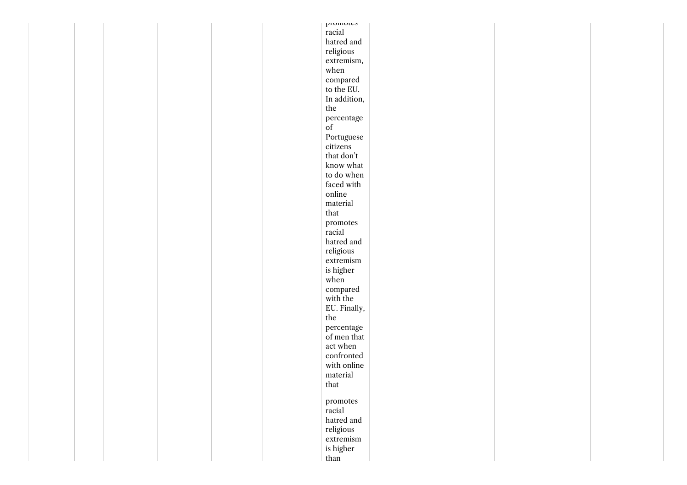| promotes                                                                                                          |  |
|-------------------------------------------------------------------------------------------------------------------|--|
| racial                                                                                                            |  |
| hatred and                                                                                                        |  |
| $\it religious$                                                                                                   |  |
| extremism,                                                                                                        |  |
| when                                                                                                              |  |
| compared                                                                                                          |  |
| to the EU.                                                                                                        |  |
| In addition,                                                                                                      |  |
| the                                                                                                               |  |
| percentage                                                                                                        |  |
| $% \left( \left( \mathcal{A},\mathcal{A}\right) \right) =\left( \mathcal{A},\mathcal{A}\right)$ of                |  |
| Portuguese                                                                                                        |  |
| citizens                                                                                                          |  |
| that don't                                                                                                        |  |
| know what                                                                                                         |  |
| to do when                                                                                                        |  |
| faced with                                                                                                        |  |
| online                                                                                                            |  |
| material                                                                                                          |  |
| that                                                                                                              |  |
| promotes                                                                                                          |  |
| racial                                                                                                            |  |
| hatred and                                                                                                        |  |
| $\it religious$                                                                                                   |  |
| extremism                                                                                                         |  |
| is higher $% \left\vert \left( \mathbf{1}_{\mathbf{1}_{\mathbf{1}}},\mathbf{1}_{\mathbf{2}}\right) \right\rangle$ |  |
| when                                                                                                              |  |
| $\operatorname{compared}$                                                                                         |  |
| with the                                                                                                          |  |
| EU. Finally,                                                                                                      |  |
| the                                                                                                               |  |
| percentage                                                                                                        |  |
| of men that                                                                                                       |  |
| act when                                                                                                          |  |
| confronted                                                                                                        |  |
| with online                                                                                                       |  |
| material                                                                                                          |  |
| that                                                                                                              |  |
|                                                                                                                   |  |
| promotes                                                                                                          |  |
| racial                                                                                                            |  |
| hatred and                                                                                                        |  |
| $\it religious$                                                                                                   |  |
| extremism                                                                                                         |  |
| is higher                                                                                                         |  |
| than                                                                                                              |  |